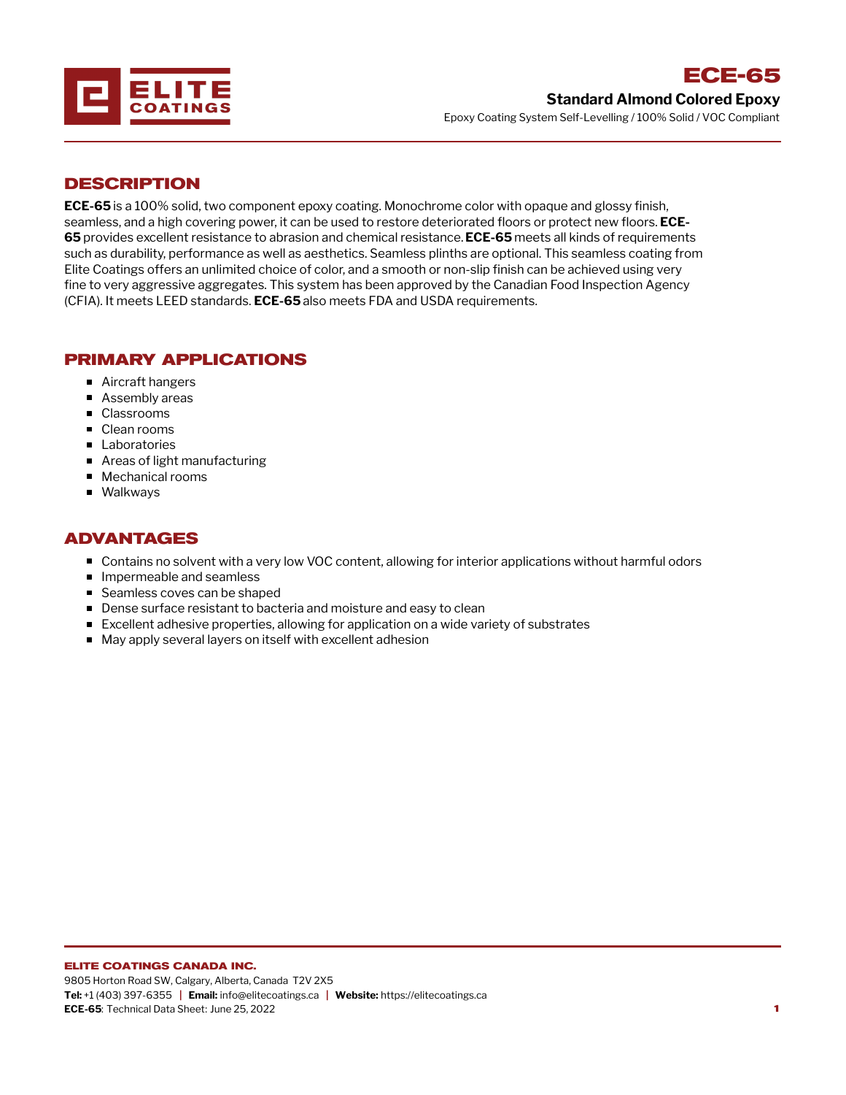

# **DESCRIPTION**

**ECE-65** is a 100% solid, two component epoxy coating. Monochrome color with opaque and glossy finish, seamless, and a high covering power, it can be used to restore deteriorated floors or protect new floors. **ECE-65** provides excellent resistance to abrasion and chemical resistance.**ECE-65** meets all kinds of requirements such as durability, performance as well as aesthetics. Seamless plinths are optional. This seamless coating from Elite Coatings offers an unlimited choice of color, and a smooth or non-slip finish can be achieved using very fine to very aggressive aggregates. This system has been approved by the Canadian Food Inspection Agency (CFIA). It meets LEED standards. **ECE-65** also meets FDA and USDA requirements.

# **PRIMARY APPLICATIONS**

- Aircraft hangers
- Assembly areas
- Classrooms
- Clean rooms
- **Laboratories**
- Areas of light manufacturing
- Mechanical rooms
- **Nalkways**

## **ADVANTAGES**

- Contains no solvent with a very low VOC content, allowing for interior applications without harmful odors
- **Impermeable and seamless**
- Seamless coves can be shaped
- **Dense surface resistant to bacteria and moisture and easy to clean**
- Excellent adhesive properties, allowing for application on a wide variety of substrates
- May apply several layers on itself with excellent adhesion

#### **ELITE COATINGS CANADA INC.**

9805 Horton Road SW, Calgary, Alberta, Canada T2V 2X5 **Tel:** +1 (403) 397-6355 **| Email:** info@elitecoatings.ca **| Website:** https://elitecoatings.ca **ECE-65**: Technical Data Sheet: June 25, 2022 **1**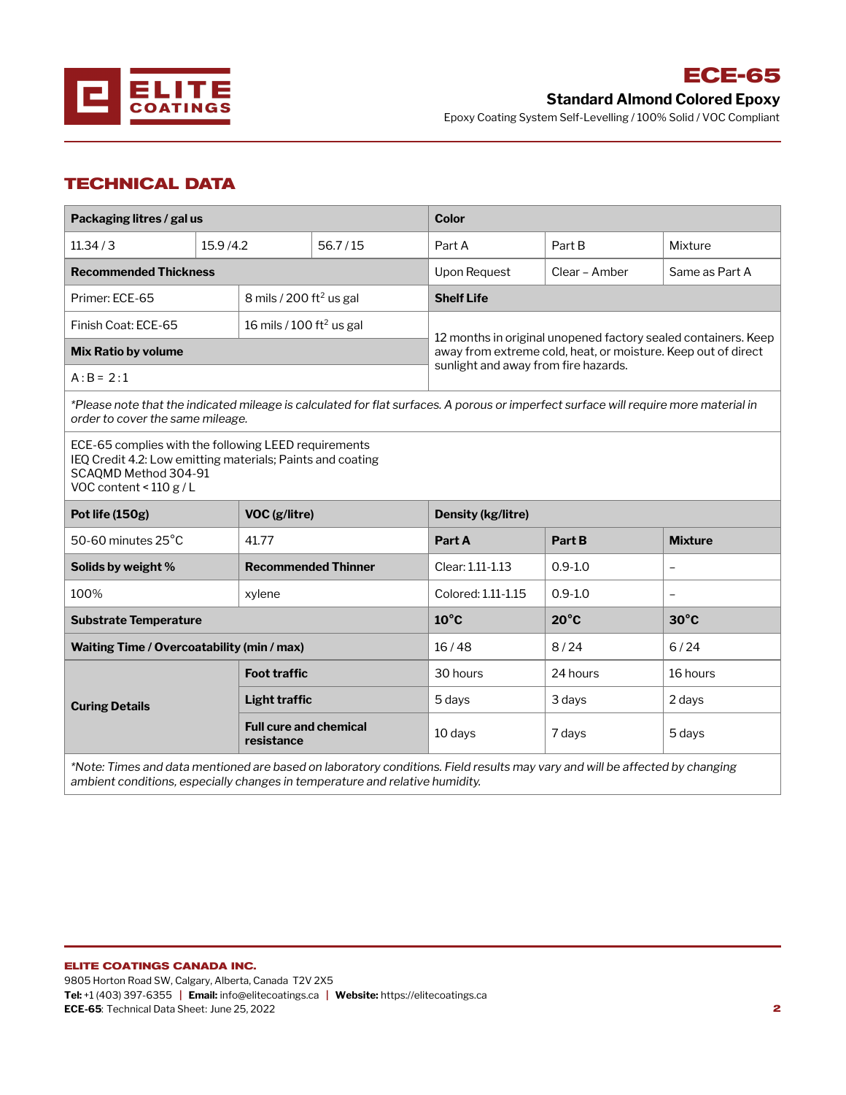

**Standard Almond Colored Epoxy**

**ECE-65**

Epoxy Coating System Self-Levelling / 100% Solid / VOC Compliant

# **TECHNICAL DATA**

| Packaging litres / gal us                                                                                                                                             |                     |                                                                                                                                      | <b>Color</b>                                                                                                                                                            |                |                          |  |  |  |
|-----------------------------------------------------------------------------------------------------------------------------------------------------------------------|---------------------|--------------------------------------------------------------------------------------------------------------------------------------|-------------------------------------------------------------------------------------------------------------------------------------------------------------------------|----------------|--------------------------|--|--|--|
| 11.34/3                                                                                                                                                               | 15.9/4.2            | 56.7/15                                                                                                                              | Part A                                                                                                                                                                  | Part B         | Mixture                  |  |  |  |
| <b>Recommended Thickness</b>                                                                                                                                          |                     |                                                                                                                                      | Upon Request                                                                                                                                                            | Clear - Amber  | Same as Part A           |  |  |  |
| Primer: ECE-65                                                                                                                                                        |                     | 8 mils / 200 ft <sup>2</sup> us gal                                                                                                  | <b>Shelf Life</b>                                                                                                                                                       |                |                          |  |  |  |
| Finish Coat: ECE-65                                                                                                                                                   |                     | 16 mils / 100 ft <sup>2</sup> us gal                                                                                                 |                                                                                                                                                                         |                |                          |  |  |  |
| <b>Mix Ratio by volume</b>                                                                                                                                            |                     |                                                                                                                                      | 12 months in original unopened factory sealed containers. Keep<br>away from extreme cold, heat, or moisture. Keep out of direct<br>sunlight and away from fire hazards. |                |                          |  |  |  |
| $A:B = 2:1$                                                                                                                                                           |                     |                                                                                                                                      |                                                                                                                                                                         |                |                          |  |  |  |
| order to cover the same mileage.                                                                                                                                      |                     | *Please note that the indicated mileage is calculated for flat surfaces. A porous or imperfect surface will require more material in |                                                                                                                                                                         |                |                          |  |  |  |
| ECE-65 complies with the following LEED requirements<br>IEQ Credit 4.2: Low emitting materials; Paints and coating<br>SCAQMD Method 304-91<br>VOC content < $110 g/L$ |                     |                                                                                                                                      |                                                                                                                                                                         |                |                          |  |  |  |
| Pot life (150g)                                                                                                                                                       | VOC (g/litre)       |                                                                                                                                      | Density (kg/litre)                                                                                                                                                      |                |                          |  |  |  |
| 50-60 minutes 25°C                                                                                                                                                    | 41.77               |                                                                                                                                      | Part A                                                                                                                                                                  | Part B         | <b>Mixture</b>           |  |  |  |
| Solids by weight %                                                                                                                                                    |                     | <b>Recommended Thinner</b>                                                                                                           | Clear: 1.11-1.13                                                                                                                                                        | $0.9 - 1.0$    | $\overline{\phantom{0}}$ |  |  |  |
| 100%                                                                                                                                                                  | xylene              |                                                                                                                                      | Colored: 1.11-1.15                                                                                                                                                      | $0.9 - 1.0$    | $\overline{a}$           |  |  |  |
| <b>Substrate Temperature</b>                                                                                                                                          |                     |                                                                                                                                      | $10^{\circ}$ C                                                                                                                                                          | $20^{\circ}$ C | $30^{\circ}$ C           |  |  |  |
| Waiting Time / Overcoatability (min / max)                                                                                                                            |                     |                                                                                                                                      | 16/48                                                                                                                                                                   | 8/24           | 6/24                     |  |  |  |
|                                                                                                                                                                       | <b>Foot traffic</b> |                                                                                                                                      | 30 hours                                                                                                                                                                | 24 hours       | 16 hours                 |  |  |  |
| <b>Curing Details</b>                                                                                                                                                 | Light traffic       |                                                                                                                                      | 5 days                                                                                                                                                                  | 3 days         | 2 days                   |  |  |  |
|                                                                                                                                                                       |                     |                                                                                                                                      |                                                                                                                                                                         |                |                          |  |  |  |
|                                                                                                                                                                       | resistance          | <b>Full cure and chemical</b>                                                                                                        | 10 days                                                                                                                                                                 | 7 days         | 5 days                   |  |  |  |

*ambient conditions, especially changes in temperature and relative humidity.*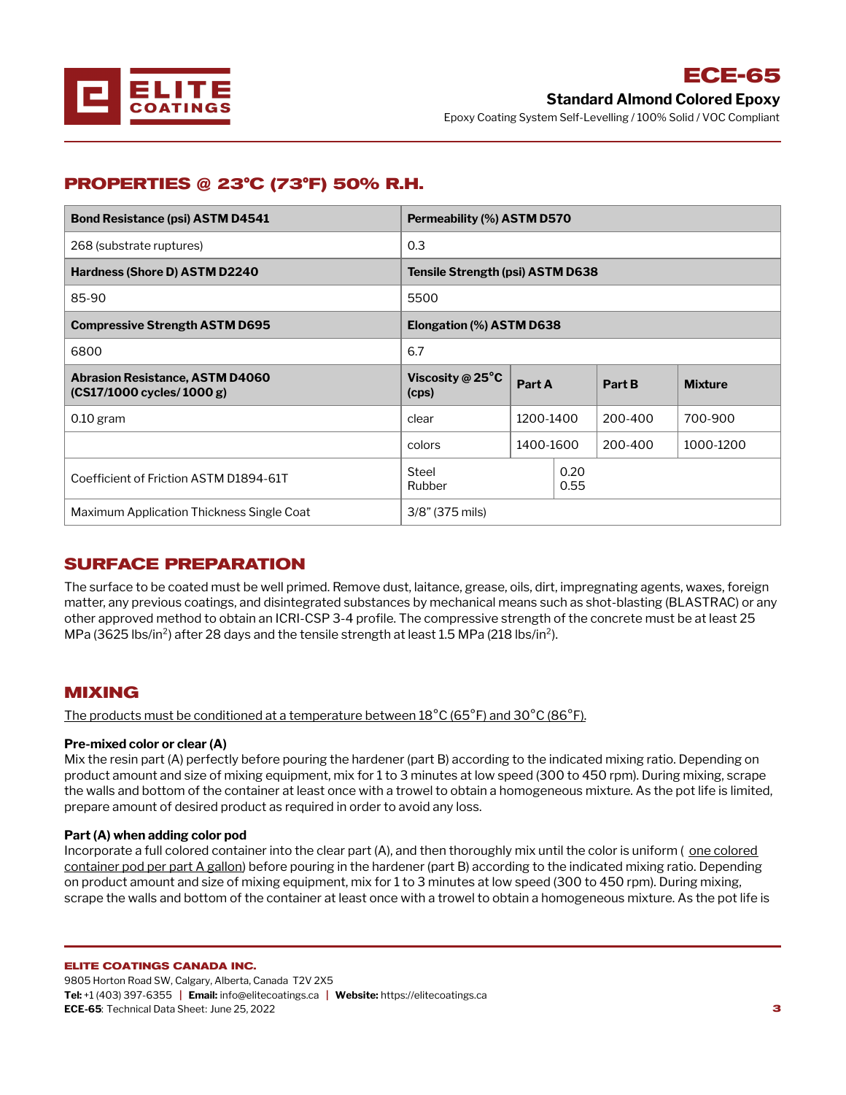

## **PROPERTIES @ 23°C (73°F) 50% R.H.**

| <b>Bond Resistance (psi) ASTM D4541</b>                               | Permeability (%) ASTM D570          |           |              |         |                |  |
|-----------------------------------------------------------------------|-------------------------------------|-----------|--------------|---------|----------------|--|
| 268 (substrate ruptures)                                              | 0.3                                 |           |              |         |                |  |
| Hardness (Shore D) ASTM D2240                                         | Tensile Strength (psi) ASTM D638    |           |              |         |                |  |
| 85-90                                                                 | 5500                                |           |              |         |                |  |
| <b>Compressive Strength ASTM D695</b>                                 | Elongation (%) ASTM D638            |           |              |         |                |  |
| 6800                                                                  | 6.7                                 |           |              |         |                |  |
| <b>Abrasion Resistance, ASTM D4060</b><br>$(CS17/1000$ cycles/1000 g) | Viscosity @ $25^{\circ}$ C<br>(cps) | Part A    |              | Part B  | <b>Mixture</b> |  |
| $0.10$ gram                                                           | clear                               | 1200-1400 |              | 200-400 | 700-900        |  |
|                                                                       | colors                              | 1400-1600 |              | 200-400 | 1000-1200      |  |
|                                                                       |                                     |           | 0.20<br>0.55 |         |                |  |
| Coefficient of Friction ASTM D1894-61T                                | <b>Steel</b><br><b>Rubber</b>       |           |              |         |                |  |

## **SURFACE PREPARATION**

The surface to be coated must be well primed. Remove dust, laitance, grease, oils, dirt, impregnating agents, waxes, foreign matter, any previous coatings, and disintegrated substances by mechanical means such as shot-blasting (BLASTRAC) or any other approved method to obtain an ICRI-CSP 3-4 profile. The compressive strength of the concrete must be at least 25 MPa (3625 lbs/in<sup>2</sup>) after 28 days and the tensile strength at least 1.5 MPa (218 lbs/in<sup>2</sup>).

### **MIXING**

The products must be conditioned at a temperature between 18°C (65°F) and 30°C (86°F).

### **Pre-mixed color or clear (A)**

Mix the resin part (A) perfectly before pouring the hardener (part B) according to the indicated mixing ratio. Depending on product amount and size of mixing equipment, mix for 1 to 3 minutes at low speed (300 to 450 rpm). During mixing, scrape the walls and bottom of the container at least once with a trowel to obtain a homogeneous mixture. As the pot life is limited, prepare amount of desired product as required in order to avoid any loss.

### **Part (A) when adding color [pod](mailto:info@elitecoatings.ca)**

Incorporate a full colored container into the clear part (A), and then thoroughly mix until the color is uniform (one colored container pod per part A gallon) before pouring in the hardener (part B) according to the indicated mixing ratio. Depending on product amount and size of mixing equipment, mix for 1 to 3 minutes at low speed (300 to 450 rpm). During mixing, scrape the walls and bottom of the container at least once with a trowel to obtain a homogeneous mixture. As the pot life is

### **ELITE COATINGS CANADA INC.**

9805 Horton Road SW, Calgary, Alberta, Canada T2V 2X5 **Tel:** +1 (403) 397-6355 **| Email:** info@elitecoatings.ca **| Website:** https://elitecoatings.ca **ECE-65**: Technical Data Sheet: June 25, 2022 **3**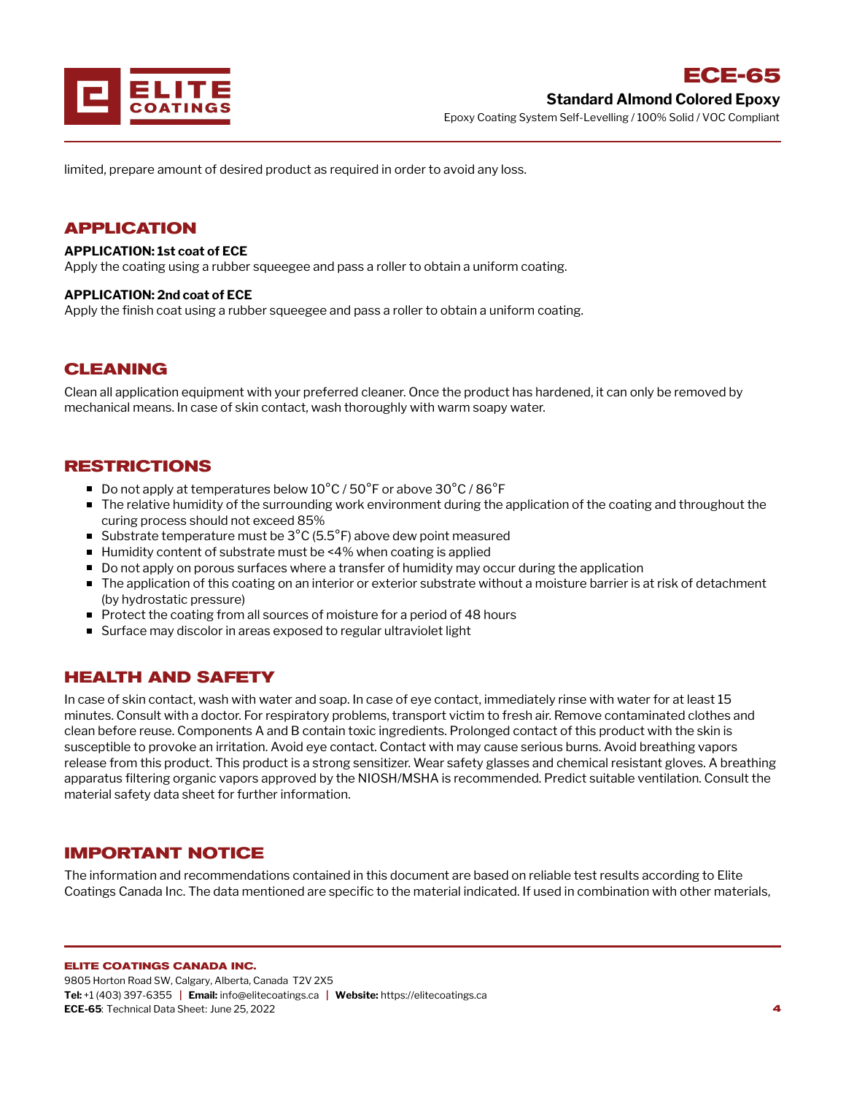

limited, prepare amount of desired product as required in order to avoid any loss.

### **APPLICATION**

### **APPLICATION: 1st coat of ECE**

Apply the coating using a rubber squeegee and pass a roller to obtain a uniform coating.

### **APPLICATION: 2nd coat of ECE**

Apply the finish coat using a rubber squeegee and pass a roller to obtain a uniform coating.

### **CLEANING**

Clean all application equipment with your preferred cleaner. Once the product has hardened, it can only be removed by mechanical means. In case of skin contact, wash thoroughly with warm soapy water.

### **RESTRICTIONS**

- Do not apply at temperatures below  $10^{\circ}$ C / 50 $^{\circ}$ F or above 30 $^{\circ}$ C / 86 $^{\circ}$ F
- The relative humidity of the surrounding work environment during the application of the coating and throughout the curing process should not exceed 85%
- Substrate temperature must be  $3^{\circ}$ C (5.5 $^{\circ}$ F) above dew point measured
- Humidity content of substrate must be <4% when coating is applied
- Do not apply on porous surfaces where a transfer of humidity may occur during the application
- The application of this coating on an interior or exterior substrate without a moisture barrier is at risk of detachment (by hydrostatic pressure)
- Protect the coating from all sources of moisture for a period of 48 hours
- Surface may discolor in areas exposed to regular ultraviolet light

### **HEALTH AND SAFETY**

In case of skin contact, wash with water and soap. In case of eye contact, immediately rinse with water for at least 15 minutes. Consult with a doctor. For respiratory problems, transport victim to fresh air. Remove contaminated clothes and clean before reuse. Components A and B contain toxic ingredients. Prolonged contact of this product with the skin is susceptible to provoke an irritation. Avoid eye contact. Contact with may cause serious burns. Avoid breathing vapors release from this product. This product is a strong sensitizer. Wear safety glasses and chemical resistant gloves. A breathing apparatus filtering organic vapors approved by the NIOSH/MSHA is recommended. Predict suitable ventilation. Consult the material safety data sheet for further information.

### **IMPORTANT NOTICE**

The information and recommendations contained in this document are based on reliable test results according to Elite Coatings Canada Inc. The data mentioned are specific to the material indicated. If used in combination with other materials,

#### **ELITE COATINGS CANADA INC.**

9805 Horton Road SW, Calgary, Alberta, Canada T2V 2X5 **Tel:** +1 (403) 397-6355 **| Email:** info@elitecoatings.ca **| Website:** https://elitecoatings.ca **ECE-65**: Technical Data Sheet: June 25, 2022 **4**